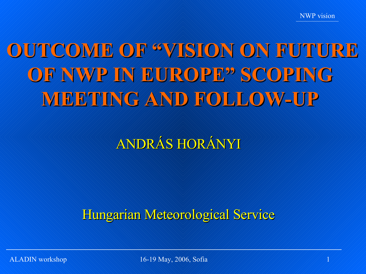# **OUTCOME OF "VISION ON FUTURE OF NWP IN EUROPE" SCOPING MEETING AND FOLLOW-UP**

ANDRÁS HORÁNYI

Hungarian Meteorological Service

ALADIN workshop 1 16-19 May, 2006, Sofia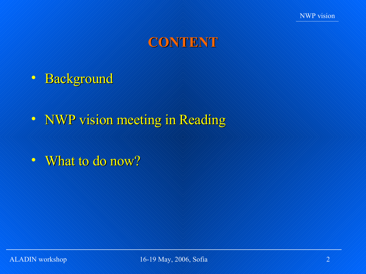

## **CONTENT**

- Background
- NWP vision meeting in Reading
- What to do now?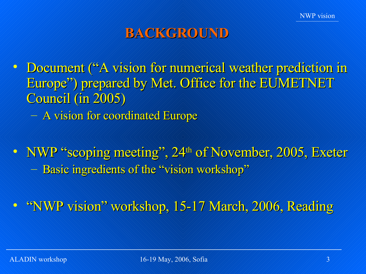## **BACKGROUND**

- Document ("A vision for numerical weather prediction in Europe") prepared by Met. Office for the EUMETNET Council (in 2005) – A vision for coordinated Europe
- NWP "scoping meeting", 24<sup>th</sup> of November, 2005, Exeter – Basic ingredients of the "vision workshop"
- "NWP vision" workshop, 15-17 March, 2006, Reading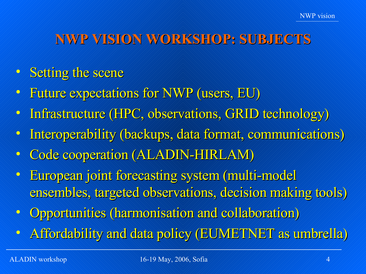# **NWP VISION WORKSHOP: SUBJECTS**

- Setting the scene
- Future expectations for NWP (users, EU)
- Infrastructure (HPC, observations, GRID technology)
- Interoperability (backups, data format, communications)
- Code cooperation (ALADIN-HIRLAM)
- European joint forecasting system (multi-model ensembles, targeted observations, decision making tools)
- Opportunities (harmonisation and collaboration)
- Affordability and data policy (EUMETNET as umbrella)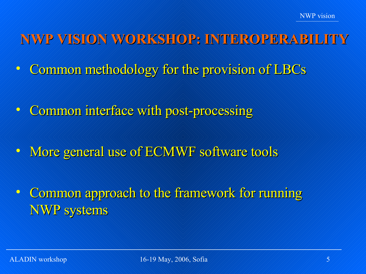- **NWP VISION WORKSHOP: INTEROPERABILI**
- Common methodology for the provision of LBCs
- Common interface with post-processing
- More general use of ECMWF software tools
- Common approach to the framework for running NWP systems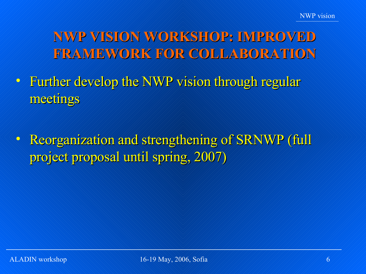# **NWP VISION WORKSHOP: IMPROVED FRAMEWORK FOR COLLABORATION**

- Further develop the NWP vision through regular meetings
- Reorganization and strengthening of SRNWP (full project proposal until spring, 2007)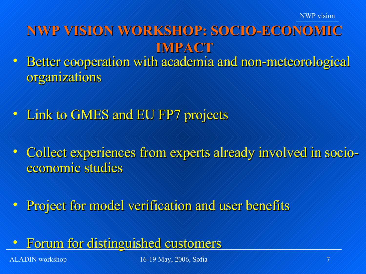## **NWP VISION WORKSHOP: SOCIO-ECONOMIC IMPACT**

- Better cooperation with academia and non-meteorological organizations
- **Link to GMES and EU FP7 projects**
- Collect experiences from experts already involved in socioeconomic studies
- Project for model verification and user benefits
- Forum for distinguished customers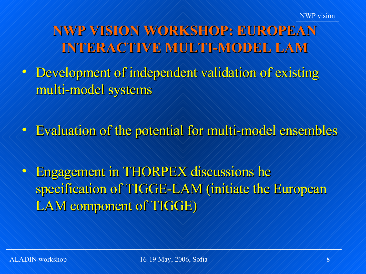**NWP VISION WORKSHOP: EUROPEAN INTERACTIVE MULTI-MODEL LAM**

• Development of independent validation of existing multi-model systems

• Evaluation of the potential for multi-model ensembles

• Engagement in THORPEX discussions he specification of TIGGE-LAM (initiate the European LAM component of TIGGE)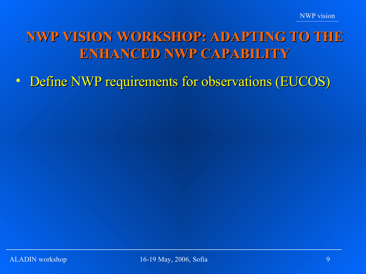# **NWP VISION WORKSHOP: ADAPTING TO THE ENHANCED NWP CAPABILITY**

• Define NWP requirements for observations (EUCOS)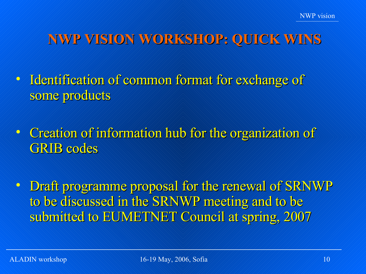## **NWP VISION WORKSHOP: QUICK WINS**

- Identification of common format for exchange of some products
- Creation of information hub for the organization of GRIB codes

• Draft programme proposal for the renewal of SRNWP to be discussed in the SRNWP meeting and to be submitted to EUMETNET Council at spring, 2007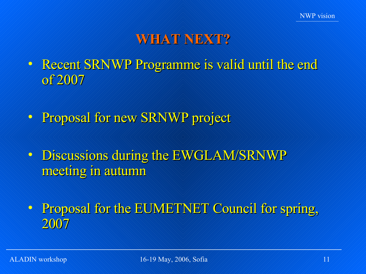## **WHAT NEXT?**

- Recent SRNWP Programme is valid until the end of 2007
- Proposal for new SRNWP project
- Discussions during the EWGLAM/SRNWP meeting in autumn
- Proposal for the EUMETNET Council for spring, 2007